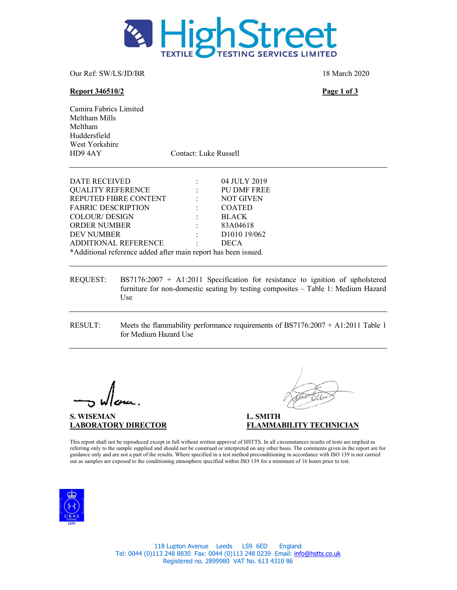

Our Ref: SW/LS/JD/BR 18 March 2020

## Report 346510/2 Page 1 of 3

Camira Fabrics Limited Meltham Mills Meltham Huddersfield West Yorkshire HD9 4AY Contact: Luke Russell

| <b>DATE RECEIVED</b>                                           |                          | 04 JULY 2019             |  |  |
|----------------------------------------------------------------|--------------------------|--------------------------|--|--|
| <b>QUALITY REFERENCE</b>                                       | <b>Contract Contract</b> | <b>PU DMF FREE</b>       |  |  |
| REPUTED FIBRE CONTENT                                          | <b>Contract Contract</b> | <b>NOT GIVEN</b>         |  |  |
| <b>FABRIC DESCRIPTION</b>                                      | <b>Contract Contract</b> | <b>COATED</b>            |  |  |
| <b>COLOUR/DESIGN</b>                                           | $\langle 1 \rangle$ .    | <b>BLACK</b>             |  |  |
| <b>ORDER NUMBER</b>                                            | $\sim$ 100 $\sim$        | 83A04618                 |  |  |
| <b>DEV NUMBER</b>                                              | $\Delta \sim 100$        | D <sub>1010</sub> 19/062 |  |  |
| <b>ADDITIONAL REFERENCE</b>                                    | $\sim$ $\sim$            | <b>DECA</b>              |  |  |
| *Additional reference added after main report has been issued. |                          |                          |  |  |

- REQUEST: BS7176:2007 + A1:2011 Specification for resistance to ignition of upholstered furniture for non-domestic seating by testing composites – Table 1: Medium Hazard Use
- RESULT: Meets the flammability performance requirements of BS7176:2007 + A1:2011 Table 1 for Medium Hazard Use

S. WISEMAN L. SMITH

LABORATORY DIRECTOR FLAMMABILITY TECHNICIAN

This report shall not be reproduced except in full without written approval of HSTTS. In all circumstances results of tests are implied as referring only to the sample supplied and should not be construed or interpreted on any other basis. The comments given in the report are for guidance only and are not a part of the results. Where specified in a test method preconditioning in accordance with ISO 139 is not carried out as samples are exposed to the conditioning atmosphere specified within ISO 139 for a minimum of 16 hours prior to test.

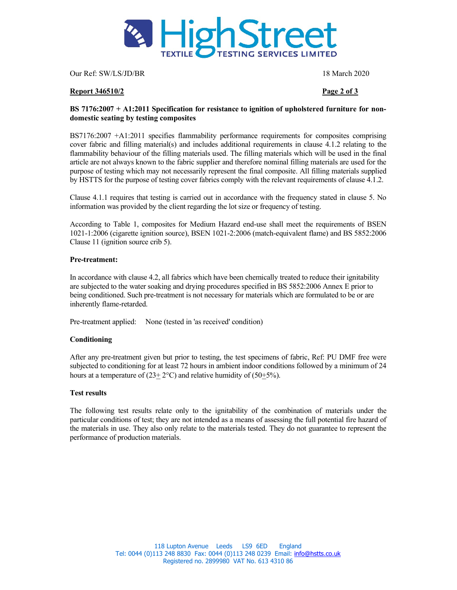

Our Ref: SW/LS/JD/BR 18 March 2020

## Report 346510/2 Page 2 of 3

## BS 7176:2007 + A1:2011 Specification for resistance to ignition of upholstered furniture for nondomestic seating by testing composites

BS7176:2007 +A1:2011 specifies flammability performance requirements for composites comprising cover fabric and filling material(s) and includes additional requirements in clause 4.1.2 relating to the flammability behaviour of the filling materials used. The filling materials which will be used in the final article are not always known to the fabric supplier and therefore nominal filling materials are used for the purpose of testing which may not necessarily represent the final composite. All filling materials supplied by HSTTS for the purpose of testing cover fabrics comply with the relevant requirements of clause 4.1.2.

Clause 4.1.1 requires that testing is carried out in accordance with the frequency stated in clause 5. No information was provided by the client regarding the lot size or frequency of testing.

According to Table 1, composites for Medium Hazard end-use shall meet the requirements of BSEN 1021-1:2006 (cigarette ignition source), BSEN 1021-2:2006 (match-equivalent flame) and BS 5852:2006 Clause 11 (ignition source crib 5).

### Pre-treatment:

In accordance with clause 4.2, all fabrics which have been chemically treated to reduce their ignitability are subjected to the water soaking and drying procedures specified in BS 5852:2006 Annex E prior to being conditioned. Such pre-treatment is not necessary for materials which are formulated to be or are inherently flame-retarded.

Pre-treatment applied: None (tested in 'as received' condition)

## Conditioning

After any pre-treatment given but prior to testing, the test specimens of fabric, Ref: PU DMF free were subjected to conditioning for at least 72 hours in ambient indoor conditions followed by a minimum of 24 hours at a temperature of  $(23+2°C)$  and relative humidity of  $(50+5\%)$ .

## Test results

The following test results relate only to the ignitability of the combination of materials under the particular conditions of test; they are not intended as a means of assessing the full potential fire hazard of the materials in use. They also only relate to the materials tested. They do not guarantee to represent the performance of production materials.